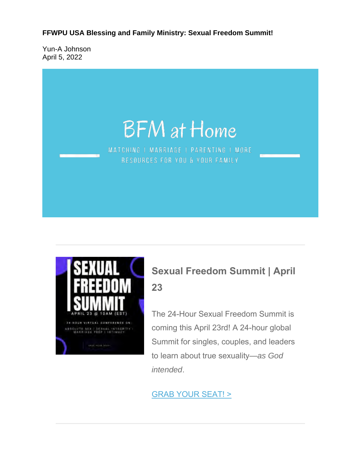**FFWPU USA Blessing and Family Ministry: Sexual Freedom Summit!**

Yun-A Johnson April 5, 2022

# **BFM** at Home

MATCHING | MARRIAGE | PARENTING | MORE RESOURCES FOR YOU & YOUR FAMILY



### **Sexual Freedom Summit | April 23**

The 24-Hour Sexual Freedom Summit is coming this April 23rd! A 24-hour global Summit for singles, couples, and leaders to learn about true sexuality—*as God intended*.

#### GRAB YOUR SEAT! >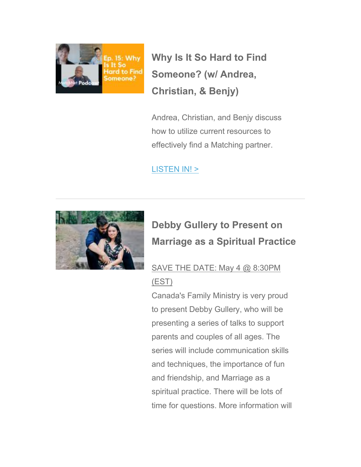

**Why Is It So Hard to Find Someone? (w/ Andrea, Christian, & Benjy)**

Andrea, Christian, and Benjy discuss how to utilize current resources to effectively find a Matching partner.

#### LISTEN IN! >



## **Debby Gullery to Present on Marriage as a Spiritual Practice**

## SAVE THE DATE: May 4 @ 8:30PM

#### (EST)

Canada's Family Ministry is very proud to present Debby Gullery, who will be presenting a series of talks to support parents and couples of all ages. The series will include communication skills and techniques, the importance of fun and friendship, and Marriage as a spiritual practice. There will be lots of time for questions. More information will